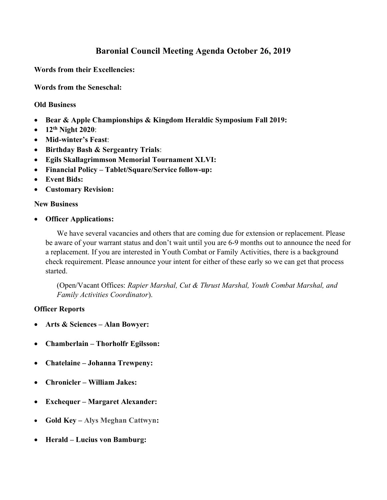## Baronial Council Meeting Agenda October 26, 2019

Words from their Excellencies:

Words from the Seneschal:

## Old Business

- Bear & Apple Championships & Kingdom Heraldic Symposium Fall 2019:
- $\bullet$  12<sup>th</sup> Night 2020:
- Mid-winter's Feast:
- Birthday Bash & Sergeantry Trials:
- Egils Skallagrimmson Memorial Tournament XLVI:
- Financial Policy Tablet/Square/Service follow-up:
- Event Bids:
- Customary Revision:

## New Business

Officer Applications:

We have several vacancies and others that are coming due for extension or replacement. Please be aware of your warrant status and don't wait until you are 6-9 months out to announce the need for a replacement. If you are interested in Youth Combat or Family Activities, there is a background check requirement. Please announce your intent for either of these early so we can get that process started.

(Open/Vacant Offices: Rapier Marshal, Cut & Thrust Marshal, Youth Combat Marshal, and Family Activities Coordinator).

## Officer Reports

- Arts & Sciences Alan Bowyer:
- Chamberlain Thorholfr Egilsson:
- Chatelaine Johanna Trewpeny:
- Chronicler William Jakes:
- Exchequer Margaret Alexander:
- Gold Key Alys Meghan Cattwyn:
- Herald Lucius von Bamburg: